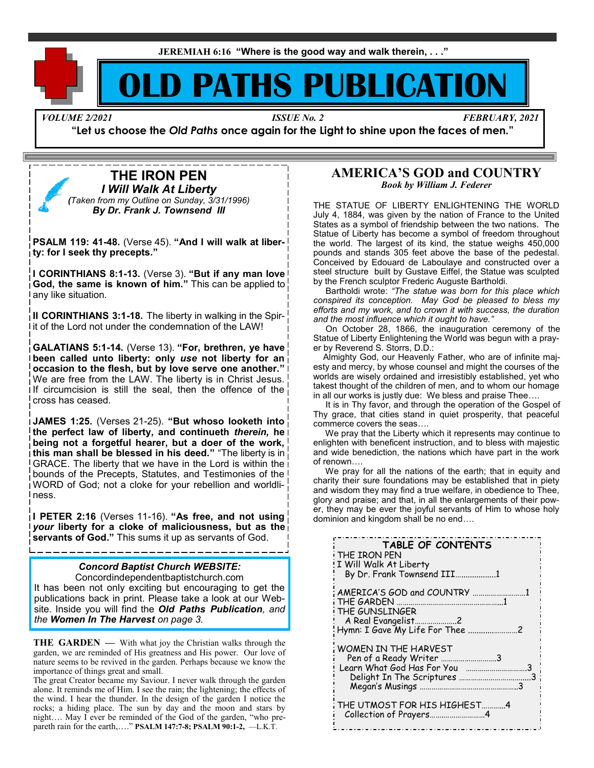**JEREMIAH 6:16 "Where is the good way and walk therein, . . ."**

# **D PATHS PUBLICATI**

*VOLUME 2/2021 ISSUE No. 2 FEBRUARY, 2021*

**"Let us choose the** *Old Paths* **once again for the Light to shine upon the faces of men."**

## **THE IRON PEN**

*I Will Walk At Liberty (Taken from my Outline on Sunday, 3/31/1996) By Dr. Frank J. Townsend III*

**PSALM 119: 41-48.** (Verse 45). **"And I will walk at liberty: for I seek thy precepts."**

**I CORINTHIANS 8:1-13.** (Verse 3). **"But if any man love God, the same is known of him."** This can be applied to any like situation.

**II CORINTHIANS 3:1-18.** The liberty in walking in the Spirit of the Lord not under the condemnation of the LAW!

**GALATIANS 5:1-14.** (Verse 13). **"For, brethren, ye have been called unto liberty: only** *use* **not liberty for an occasion to the flesh, but by love serve one another."**  We are free from the LAW. The liberty is in Christ Jesus. If circumcision is still the seal, then the offence of the cross has ceased.

**JAMES 1:25.** (Verses 21-25). **"But whoso looketh into the perfect law of liberty, and continueth** *therein,* **he being not a forgetful hearer, but a doer of the work, this man shall be blessed in his deed."** "The liberty is in GRACE. The liberty that we have in the Lord is within the bounds of the Precepts, Statutes, and Testimonies of the WORD of God; not a cloke for your rebellion and worldliness.

**I PETER 2:16** (Verses 11-16). **"As free, and not using**  *your* **liberty for a cloke of maliciousness, but as the servants of God.**" This sums it up as servants of God.

## *Concord Baptist Church WEBSITE:*

Concordindependentbaptistchurch.com It has been not only exciting but encouraging to get the publications back in print. Please take a look at our Website. Inside you will find the *Old Paths Publication, and the Women In The Harvest on page 3.*

**THE GARDEN** — With what joy the Christian walks through the garden, we are reminded of His greatness and His power. Our love of nature seems to be revived in the garden. Perhaps because we know the importance of things great and small.

The great Creator became my Saviour. I never walk through the garden alone. It reminds me of Him. I see the rain; the lightening; the effects of the wind. I hear the thunder. In the design of the garden I notice the rocks; a hiding place. The sun by day and the moon and stars by night…. May I ever be reminded of the God of the garden, "who prepareth rain for the earth,…." **PSALM 147:7-8; PSALM 90:1-2,** —L.K.T.

## **AMERICA'S GOD and COUNTRY** *Book by William J. Federer*

THE STATUE OF LIBERTY ENLIGHTENING THE WORLD July 4, 1884, was given by the nation of France to the United States as a symbol of friendship between the two nations. The Statue of Liberty has become a symbol of freedom throughout the world. The largest of its kind, the statue weighs 450,000 pounds and stands 305 feet above the base of the pedestal. Conceived by Edouard de Laboulaye and constructed over a steel structure built by Gustave Eiffel, the Statue was sculpted by the French sculptor Frederic Auguste Bartholdi.

 Bartholdi wrote: *"The statue was born for this place which conspired its conception. May God be pleased to bless my efforts and my work, and to crown it with success, the duration and the most influence which it ought to have."*

 On October 28, 1866, the inauguration ceremony of the Statue of Liberty Enlightening the World was begun with a prayer by Reverend S. Storrs, D.D.:

 Almighty God, our Heavenly Father, who are of infinite majesty and mercy, by whose counsel and might the courses of the worlds are wisely ordained and irresistibly established, yet who takest thought of the children of men, and to whom our homage in all our works is justly due: We bless and praise Thee….

 It is in Thy favor, and through the operation of the Gospel of Thy grace, that cities stand in quiet prosperity, that peaceful commerce covers the seas….

 We pray that the Liberty which it represents may continue to enlighten with beneficent instruction, and to bless with majestic and wide benediction, the nations which have part in the work of renown….

 We pray for all the nations of the earth; that in equity and charity their sure foundations may be established that in piety and wisdom they may find a true welfare, in obedience to Thee, glory and praise; and that, in all the enlargements of their power, they may be ever the joyful servants of Him to whose holy dominion and kingdom shall be no end….

| TABLE OF CONTENTS<br>THE IRON PEN<br>I Will Walk At Liberty<br>By Dr. Frank Townsend III1 |
|-------------------------------------------------------------------------------------------|
| AMERICA'S GOD and COUNTRY 1<br>THE GUNSLINGER<br>A Real Evangelist2                       |
| WOMEN IN THE HARVEST<br>Pen of a Ready Writer 3<br>Learn What God Has For You             |
| THE UTMOST FOR HIS HIGHEST4<br>Collection of Prayers4                                     |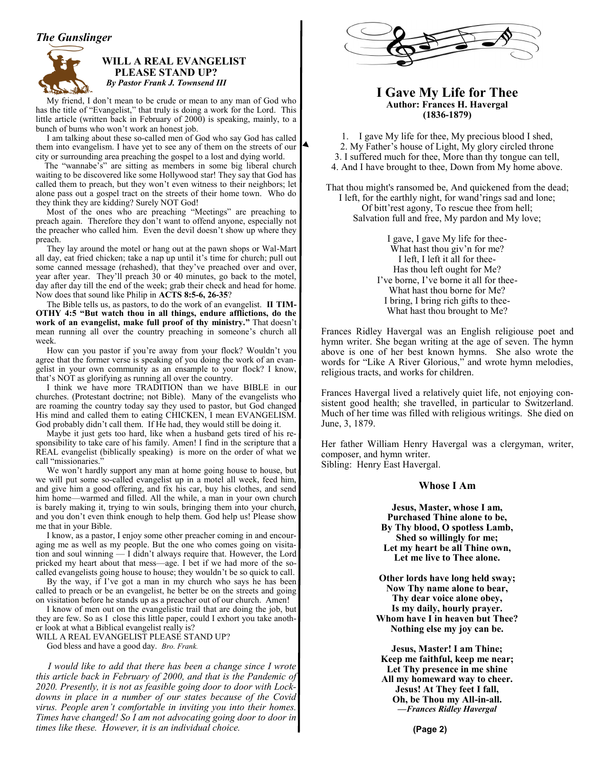

## **WILL A REAL EVANGELIST PLEASE STAND UP?**   *By Pastor Frank J. Townsend III*

 My friend, I don't mean to be crude or mean to any man of God who has the title of "Evangelist," that truly is doing a work for the Lord. This little article (written back in February of 2000) is speaking, mainly, to a bunch of bums who won't work an honest job.

 I am talking about these so-called men of God who say God has called them into evangelism. I have yet to see any of them on the streets of our city or surrounding area preaching the gospel to a lost and dying world.

 The "wannabe's" are sitting as members in some big liberal church waiting to be discovered like some Hollywood star! They say that God has called them to preach, but they won't even witness to their neighbors; let alone pass out a gospel tract on the streets of their home town. Who do they think they are kidding? Surely NOT God!

 Most of the ones who are preaching "Meetings" are preaching to preach again. Therefore they don't want to offend anyone, especially not the preacher who called him. Even the devil doesn't show up where they preach.

 They lay around the motel or hang out at the pawn shops or Wal-Mart all day, eat fried chicken; take a nap up until it's time for church; pull out some canned message (rehashed), that they've preached over and over, year after year. They'll preach 30 or 40 minutes, go back to the motel, day after day till the end of the week; grab their check and head for home. Now does that sound like Philip in **ACTS 8:5-6, 26-35**?

 The Bible tells us, as pastors, to do the work of an evangelist. **II TIM-OTHY 4:5 "But watch thou in all things, endure afflictions, do the work of an evangelist, make full proof of thy ministry."** That doesn't mean running all over the country preaching in someone's church all week.

 How can you pastor if you're away from your flock? Wouldn't you agree that the former verse is speaking of you doing the work of an evangelist in your own community as an ensample to your flock? I know, that's NOT as glorifying as running all over the country.

 I think we have more TRADITION than we have BIBLE in our churches. (Protestant doctrine; not Bible). Many of the evangelists who are roaming the country today say they used to pastor, but God changed His mind and called them to eating CHICKEN, I mean EVANGELISM. God probably didn't call them. If He had, they would still be doing it.

 Maybe it just gets too hard, like when a husband gets tired of his responsibility to take care of his family. Amen! I find in the scripture that a REAL evangelist (biblically speaking) is more on the order of what we call "missionaries."

We won't hardly support any man at home going house to house, but we will put some so-called evangelist up in a motel all week, feed him, and give him a good offering, and fix his car, buy his clothes, and send him home—warmed and filled. All the while, a man in your own church is barely making it, trying to win souls, bringing them into your church, and you don't even think enough to help them. God help us! Please show me that in your Bible.

 I know, as a pastor, I enjoy some other preacher coming in and encouraging me as well as my people. But the one who comes going on visitation and soul winning — I didn't always require that. However, the Lord pricked my heart about that mess—age. I bet if we had more of the socalled evangelists going house to house; they wouldn't be so quick to call.

 By the way, if I've got a man in my church who says he has been called to preach or be an evangelist, he better be on the streets and going on visitation before he stands up as a preacher out of our church. Amen!

 I know of men out on the evangelistic trail that are doing the job, but they are few. So as I close this little paper, could I exhort you take another look at what a Biblical evangelist really is?

WILL A REAL EVANGELIST PLEASE STAND UP?

God bless and have a good day. *Bro. Frank.*

 *I would like to add that there has been a change since I wrote this article back in February of 2000, and that is the Pandemic of 2020. Presently, it is not as feasible going door to door with Lockdowns in place in a number of our states because of the Covid virus. People aren't comfortable in inviting you into their homes. Times have changed! So I am not advocating going door to door in times like these. However, it is an individual choice.*



## **I Gave My Life for Thee Author: Frances H. Havergal (1836-1879)**

1. I gave My life for thee, My precious blood I shed, 2. My Father's house of Light, My glory circled throne 3. I suffered much for thee, More than thy tongue can tell, 4. And I have brought to thee, Down from My home above.

That thou might's ransomed be, And quickened from the dead; I left, for the earthly night, for wand'rings sad and lone; Of bitt'rest agony, To rescue thee from hell; Salvation full and free, My pardon and My love;

> I gave, I gave My life for thee-What hast thou giv'n for me? I left, I left it all for thee-Has thou left ought for Me? I've borne, I've borne it all for thee-What hast thou borne for Me? I bring, I bring rich gifts to thee-What hast thou brought to Me?

Frances Ridley Havergal was an English religiouse poet and hymn writer. She began writing at the age of seven. The hymn above is one of her best known hymns. She also wrote the words for "Like A River Glorious," and wrote hymn melodies, religious tracts, and works for children.

Frances Havergal lived a relatively quiet life, not enjoying consistent good health; she travelled, in particular to Switzerland. Much of her time was filled with religious writings. She died on June, 3, 1879.

Her father William Henry Havergal was a clergyman, writer, composer, and hymn writer. Sibling: Henry East Havergal.

#### **Whose I Am**

**Jesus, Master, whose I am, Purchased Thine alone to be, By Thy blood, O spotless Lamb, Shed so willingly for me; Let my heart be all Thine own, Let me live to Thee alone.**

**Other lords have long held sway; Now Thy name alone to bear, Thy dear voice alone obey, Is my daily, hourly prayer. Whom have I in heaven but Thee? Nothing else my joy can be.**

**Jesus, Master! I am Thine; Keep me faithful, keep me near; Let Thy presence in me shine All my homeward way to cheer. Jesus! At They feet I fall, Oh, be Thou my All-in-all.** *—Frances Ridley Havergal*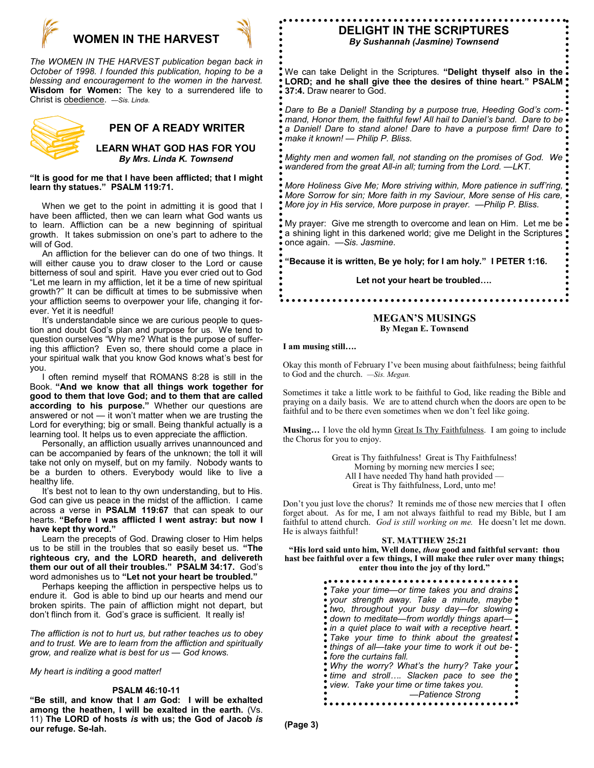

*The WOMEN IN THE HARVEST publication began back in October of 1998. I founded this publication, hoping to be a blessing and encouragement to the women in the harvest.* **Wisdom for Women:** The key to a surrendered life to Christ is obedience. *—Sis. Linda.*



## **PEN OF A READY WRITER**

#### **LEARN WHAT GOD HAS FOR YOU** *By Mrs. Linda K. Townsend*

**"It is good for me that I have been afflicted; that I might learn thy statues." PSALM 119:71.**

 When we get to the point in admitting it is good that I have been afflicted, then we can learn what God wants us to learn. Affliction can be a new beginning of spiritual growth. It takes submission on one's part to adhere to the will of God.

 An affliction for the believer can do one of two things. It will either cause you to draw closer to the Lord or cause bitterness of soul and spirit. Have you ever cried out to God "Let me learn in my affliction, let it be a time of new spiritual growth?" It can be difficult at times to be submissive when your affliction seems to overpower your life, changing it forever. Yet it is needful!

 It's understandable since we are curious people to question and doubt God's plan and purpose for us. We tend to question ourselves "Why me? What is the purpose of suffering this affliction? Even so, there should come a place in your spiritual walk that you know God knows what's best for you.

 I often remind myself that ROMANS 8:28 is still in the Book. **"And we know that all things work together for good to them that love God; and to them that are called according to his purpose."** Whether our questions are answered or not — it won't matter when we are trusting the Lord for everything; big or small. Being thankful actually is a learning tool. It helps us to even appreciate the affliction.

 Personally, an affliction usually arrives unannounced and can be accompanied by fears of the unknown; the toll it will take not only on myself, but on my family. Nobody wants to be a burden to others. Everybody would like to live a healthy life.

 It's best not to lean to thy own understanding, but to His. God can give us peace in the midst of the affliction. I came across a verse in **PSALM 119:67** that can speak to our hearts. **"Before I was afflicted I went astray: but now I have kept thy word."** 

Learn the precepts of God. Drawing closer to Him helps us to be still in the troubles that so easily beset us. **"The righteous cry, and the LORD heareth, and delivereth them our out of all their troubles." PSALM 34:17.** God's word admonishes us to **"Let not your heart be troubled."**

Perhaps keeping the affliction in perspective helps us to endure it. God is able to bind up our hearts and mend our broken spirits. The pain of affliction might not depart, but don't flinch from it. God's grace is sufficient. It really is!

*The affliction is not to hurt us, but rather teaches us to obey and to trust. We are to learn from the affliction and spiritually grow, and realize what is best for us — God knows.* 

#### *My heart is inditing a good matter!*

#### **PSALM 46:10-11**

**"Be still, and know that I** *am* **God: I will be exhalted among the heathen, I will be exalted in the earth.** (Vs. 11) **The LORD of hosts** *is* **with us; the God of Jacob** *is* **our refuge. Se-lah.**

## **DELIGHT IN THE SCRIPTURES** *By Sushannah (Jasmine) Townsend*

We can take Delight in the Scriptures. **"Delight thyself also in the LORD; and he shall give thee the desires of thine heart." PSALM 37:4.** Draw nearer to God.

*Dare to Be a Daniel! Standing by a purpose true, Heeding God's command, Honor them, the faithful few! All hail to Daniel's band. Dare to be a Daniel! Dare to stand alone! Dare to have a purpose firm! Dare to make it known! — Philip P. Bliss.*

*Mighty men and women fall, not standing on the promises of God. We wandered from the great All-in all; turning from the Lord. —LKT.*

*More Holiness Give Me; More striving within, More patience in suff'ring, More Sorrow for sin; More faith in my Saviour, More sense of His care, More joy in His service, More purpose in prayer. —Philip P. Bliss.*

My prayer: Give me strength to overcome and lean on Him. Let me be  $\ddot{\bullet}$ a shining light in this darkened world; give me Delight in the Scriptures: once again. *—Sis. Jasmine.*

**"Because it is written, Be ye holy; for I am holy." I PETER 1:16.**

**Let not your heart be troubled….**

#### **MEGAN'S MUSINGS By Megan E. Townsend**

**I am musing still….**

Okay this month of February I've been musing about faithfulness; being faithful to God and the church. *—Sis. Megan.*

Sometimes it take a little work to be faithful to God, like reading the Bible and praying on a daily basis. We are to attend church when the doors are open to be faithful and to be there even sometimes when we don't feel like going.

**Musing…** I love the old hymn Great Is Thy Faithfulness. I am going to include the Chorus for you to enjoy.

> Great is Thy faithfulness! Great is Thy Faithfulness! Morning by morning new mercies I see; All I have needed Thy hand hath provided — Great is Thy faithfulness, Lord, unto me!

Don't you just love the chorus? It reminds me of those new mercies that I often forget about. As for me, I am not always faithful to read my Bible, but I am faithful to attend church. *God is still working on me*. He doesn't let me down. He is always faithful!

#### **ST. MATTHEW 25:21**

**"His lord said unto him, Well done,** *thou* **good and faithful servant: thou hast bee faithful over a few things, I will make thee ruler over many things; enter thou into the joy of thy lord."**

> *Take your time—or time takes you and drains your strength away. Take a minute, maybe two, throughout your busy day—for slowing down to meditate—from worldly things apart in a quiet place to wait with a receptive heart. Take your time to think about the greatest things of all—take your time to work it out before the curtains fall. Why the worry? What's the hurry? Take your time and stroll…. Slacken pace to see the view. Take your time or time takes you. —Patience Strong*